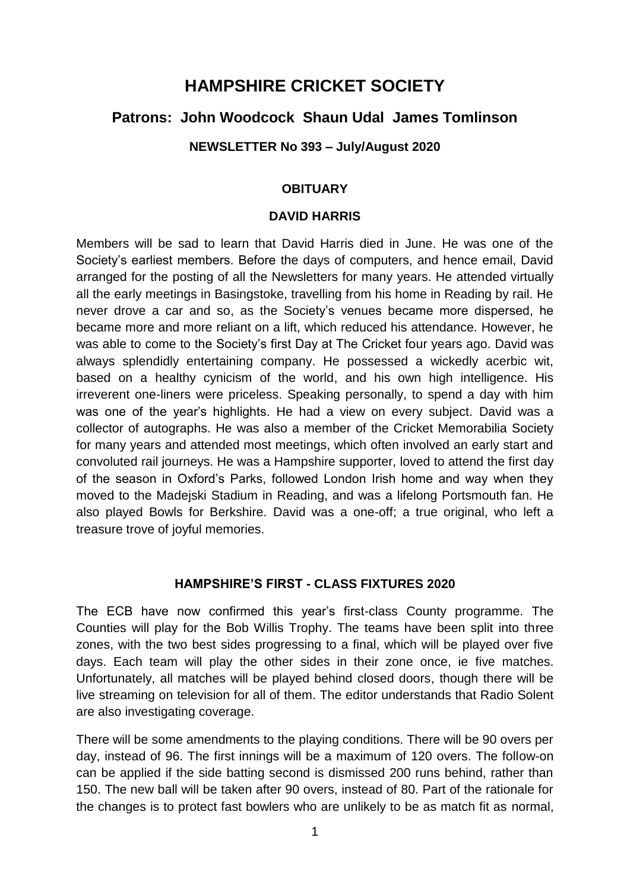# **HAMPSHIRE CRICKET SOCIETY**

# **Patrons: John Woodcock Shaun Udal James Tomlinson**

**NEWSLETTER No 393 – July/August 2020**

### **OBITUARY**

#### **DAVID HARRIS**

Members will be sad to learn that David Harris died in June. He was one of the Society's earliest members. Before the days of computers, and hence email, David arranged for the posting of all the Newsletters for many years. He attended virtually all the early meetings in Basingstoke, travelling from his home in Reading by rail. He never drove a car and so, as the Society's venues became more dispersed, he became more and more reliant on a lift, which reduced his attendance. However, he was able to come to the Society's first Day at The Cricket four years ago. David was always splendidly entertaining company. He possessed a wickedly acerbic wit, based on a healthy cynicism of the world, and his own high intelligence. His irreverent one-liners were priceless. Speaking personally, to spend a day with him was one of the year's highlights. He had a view on every subject. David was a collector of autographs. He was also a member of the Cricket Memorabilia Society for many years and attended most meetings, which often involved an early start and convoluted rail journeys. He was a Hampshire supporter, loved to attend the first day of the season in Oxford's Parks, followed London Irish home and way when they moved to the Madejski Stadium in Reading, and was a lifelong Portsmouth fan. He also played Bowls for Berkshire. David was a one-off; a true original, who left a treasure trove of joyful memories.

# **HAMPSHIRE'S FIRST - CLASS FIXTURES 2020**

The ECB have now confirmed this year's first-class County programme. The Counties will play for the Bob Willis Trophy. The teams have been split into three zones, with the two best sides progressing to a final, which will be played over five days. Each team will play the other sides in their zone once, ie five matches. Unfortunately, all matches will be played behind closed doors, though there will be live streaming on television for all of them. The editor understands that Radio Solent are also investigating coverage.

There will be some amendments to the playing conditions. There will be 90 overs per day, instead of 96. The first innings will be a maximum of 120 overs. The follow-on can be applied if the side batting second is dismissed 200 runs behind, rather than 150. The new ball will be taken after 90 overs, instead of 80. Part of the rationale for the changes is to protect fast bowlers who are unlikely to be as match fit as normal,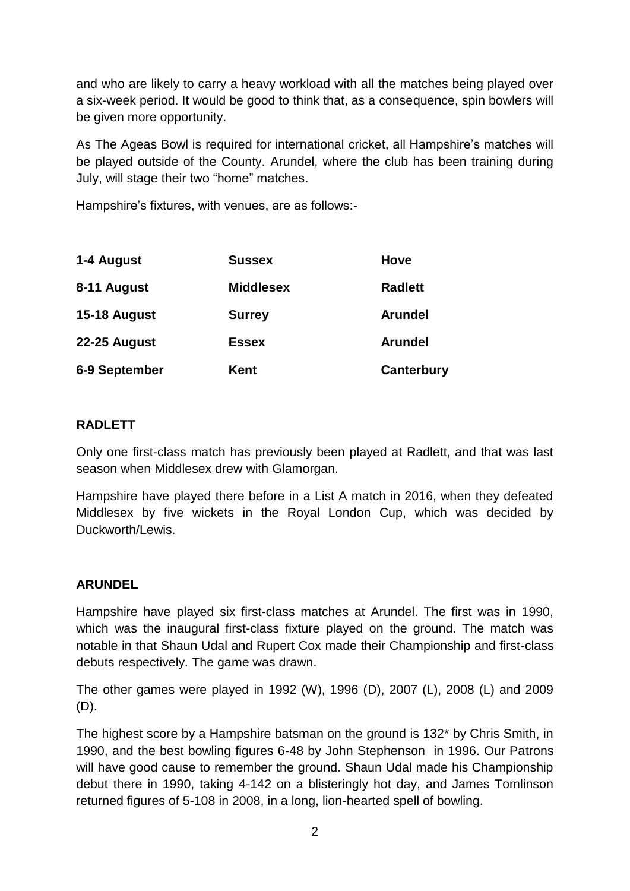and who are likely to carry a heavy workload with all the matches being played over a six-week period. It would be good to think that, as a consequence, spin bowlers will be given more opportunity.

As The Ageas Bowl is required for international cricket, all Hampshire's matches will be played outside of the County. Arundel, where the club has been training during July, will stage their two "home" matches.

Hampshire's fixtures, with venues, are as follows:-

| 1-4 August    | <b>Sussex</b>    | <b>Hove</b>       |
|---------------|------------------|-------------------|
| 8-11 August   | <b>Middlesex</b> | <b>Radlett</b>    |
| 15-18 August  | <b>Surrey</b>    | <b>Arundel</b>    |
| 22-25 August  | <b>Essex</b>     | <b>Arundel</b>    |
| 6-9 September | <b>Kent</b>      | <b>Canterbury</b> |

#### **RADLETT**

Only one first-class match has previously been played at Radlett, and that was last season when Middlesex drew with Glamorgan.

Hampshire have played there before in a List A match in 2016, when they defeated Middlesex by five wickets in the Royal London Cup, which was decided by Duckworth/Lewis.

#### **ARUNDEL**

Hampshire have played six first-class matches at Arundel. The first was in 1990, which was the inaugural first-class fixture played on the ground. The match was notable in that Shaun Udal and Rupert Cox made their Championship and first-class debuts respectively. The game was drawn.

The other games were played in 1992 (W), 1996 (D), 2007 (L), 2008 (L) and 2009 (D).

The highest score by a Hampshire batsman on the ground is 132\* by Chris Smith, in 1990, and the best bowling figures 6-48 by John Stephenson in 1996. Our Patrons will have good cause to remember the ground. Shaun Udal made his Championship debut there in 1990, taking 4-142 on a blisteringly hot day, and James Tomlinson returned figures of 5-108 in 2008, in a long, lion-hearted spell of bowling.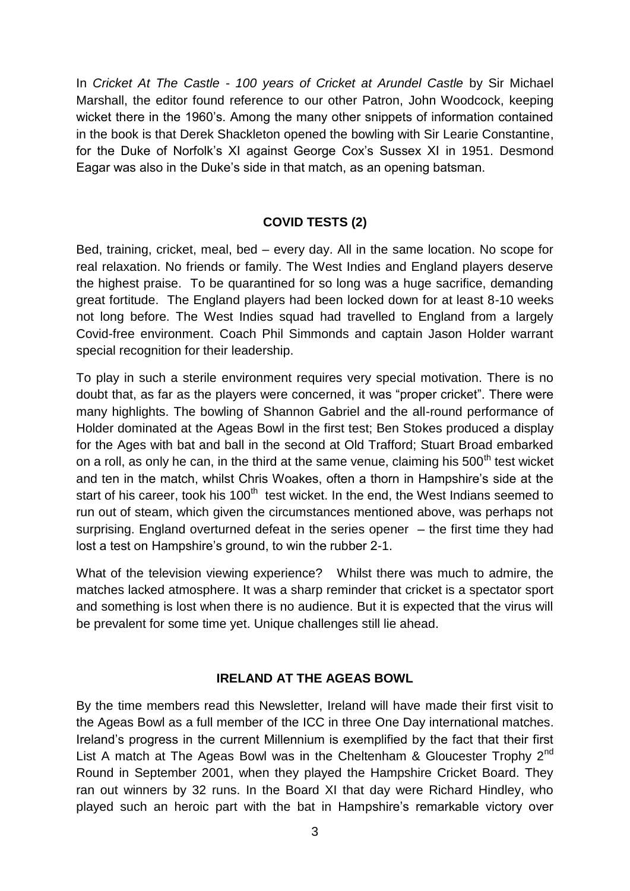In *Cricket At The Castle - 100 years of Cricket at Arundel Castle* by Sir Michael Marshall, the editor found reference to our other Patron, John Woodcock, keeping wicket there in the 1960's. Among the many other snippets of information contained in the book is that Derek Shackleton opened the bowling with Sir Learie Constantine, for the Duke of Norfolk's XI against George Cox's Sussex XI in 1951. Desmond Eagar was also in the Duke's side in that match, as an opening batsman.

# **COVID TESTS (2)**

Bed, training, cricket, meal, bed – every day. All in the same location. No scope for real relaxation. No friends or family. The West Indies and England players deserve the highest praise. To be quarantined for so long was a huge sacrifice, demanding great fortitude. The England players had been locked down for at least 8-10 weeks not long before. The West Indies squad had travelled to England from a largely Covid-free environment. Coach Phil Simmonds and captain Jason Holder warrant special recognition for their leadership.

To play in such a sterile environment requires very special motivation. There is no doubt that, as far as the players were concerned, it was "proper cricket". There were many highlights. The bowling of Shannon Gabriel and the all-round performance of Holder dominated at the Ageas Bowl in the first test; Ben Stokes produced a display for the Ages with bat and ball in the second at Old Trafford; Stuart Broad embarked on a roll, as only he can, in the third at the same venue, claiming his  $500<sup>th</sup>$  test wicket and ten in the match, whilst Chris Woakes, often a thorn in Hampshire's side at the start of his career, took his 100<sup>th</sup> test wicket. In the end, the West Indians seemed to run out of steam, which given the circumstances mentioned above, was perhaps not surprising. England overturned defeat in the series opener – the first time they had lost a test on Hampshire's ground, to win the rubber 2-1.

What of the television viewing experience? Whilst there was much to admire, the matches lacked atmosphere. It was a sharp reminder that cricket is a spectator sport and something is lost when there is no audience. But it is expected that the virus will be prevalent for some time yet. Unique challenges still lie ahead.

# **IRELAND AT THE AGEAS BOWL**

By the time members read this Newsletter, Ireland will have made their first visit to the Ageas Bowl as a full member of the ICC in three One Day international matches. Ireland's progress in the current Millennium is exemplified by the fact that their first List A match at The Ageas Bowl was in the Cheltenham & Gloucester Trophy  $2^{nd}$ Round in September 2001, when they played the Hampshire Cricket Board. They ran out winners by 32 runs. In the Board XI that day were Richard Hindley, who played such an heroic part with the bat in Hampshire's remarkable victory over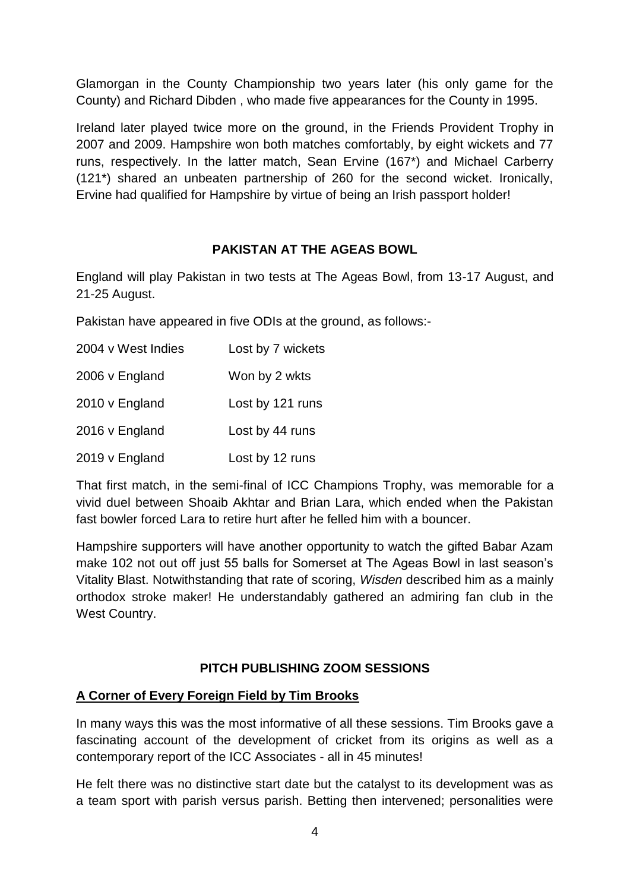Glamorgan in the County Championship two years later (his only game for the County) and Richard Dibden , who made five appearances for the County in 1995.

Ireland later played twice more on the ground, in the Friends Provident Trophy in 2007 and 2009. Hampshire won both matches comfortably, by eight wickets and 77 runs, respectively. In the latter match, Sean Ervine (167\*) and Michael Carberry (121\*) shared an unbeaten partnership of 260 for the second wicket. Ironically, Ervine had qualified for Hampshire by virtue of being an Irish passport holder!

# **PAKISTAN AT THE AGEAS BOWL**

England will play Pakistan in two tests at The Ageas Bowl, from 13-17 August, and 21-25 August.

Pakistan have appeared in five ODIs at the ground, as follows:-

| 2004 v West Indies | Lost by 7 wickets |
|--------------------|-------------------|
| 2006 v England     | Won by 2 wkts     |
| 2010 v England     | Lost by 121 runs  |
| 2016 v England     | Lost by 44 runs   |
| 2019 v England     | Lost by 12 runs   |

That first match, in the semi-final of ICC Champions Trophy, was memorable for a vivid duel between Shoaib Akhtar and Brian Lara, which ended when the Pakistan fast bowler forced Lara to retire hurt after he felled him with a bouncer.

Hampshire supporters will have another opportunity to watch the gifted Babar Azam make 102 not out off just 55 balls for Somerset at The Ageas Bowl in last season's Vitality Blast. Notwithstanding that rate of scoring, *Wisden* described him as a mainly orthodox stroke maker! He understandably gathered an admiring fan club in the West Country.

# **PITCH PUBLISHING ZOOM SESSIONS**

# **A Corner of Every Foreign Field by Tim Brooks**

In many ways this was the most informative of all these sessions. Tim Brooks gave a fascinating account of the development of cricket from its origins as well as a contemporary report of the ICC Associates - all in 45 minutes!

He felt there was no distinctive start date but the catalyst to its development was as a team sport with parish versus parish. Betting then intervened; personalities were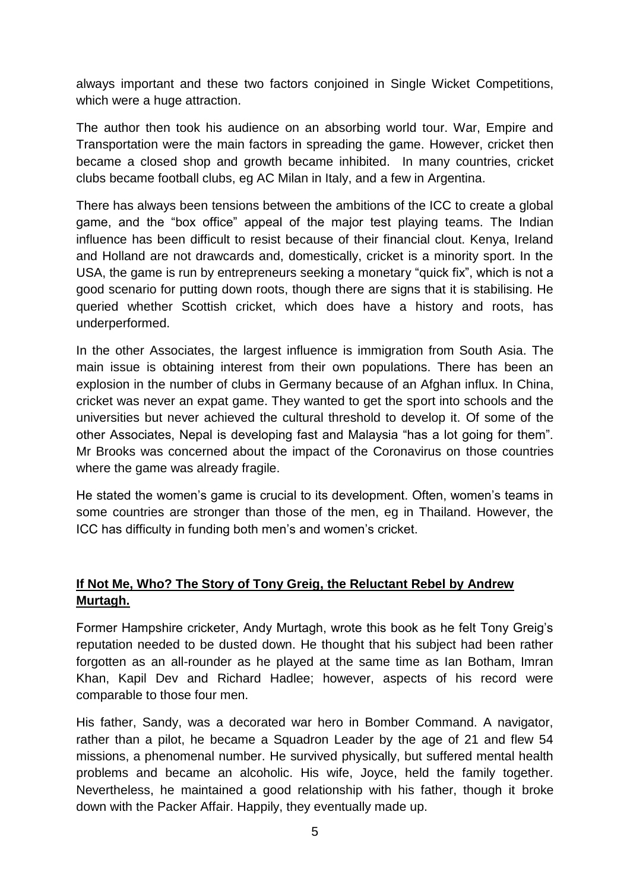always important and these two factors conjoined in Single Wicket Competitions, which were a huge attraction.

The author then took his audience on an absorbing world tour. War, Empire and Transportation were the main factors in spreading the game. However, cricket then became a closed shop and growth became inhibited. In many countries, cricket clubs became football clubs, eg AC Milan in Italy, and a few in Argentina.

There has always been tensions between the ambitions of the ICC to create a global game, and the "box office" appeal of the major test playing teams. The Indian influence has been difficult to resist because of their financial clout. Kenya, Ireland and Holland are not drawcards and, domestically, cricket is a minority sport. In the USA, the game is run by entrepreneurs seeking a monetary "quick fix", which is not a good scenario for putting down roots, though there are signs that it is stabilising. He queried whether Scottish cricket, which does have a history and roots, has underperformed.

In the other Associates, the largest influence is immigration from South Asia. The main issue is obtaining interest from their own populations. There has been an explosion in the number of clubs in Germany because of an Afghan influx. In China, cricket was never an expat game. They wanted to get the sport into schools and the universities but never achieved the cultural threshold to develop it. Of some of the other Associates, Nepal is developing fast and Malaysia "has a lot going for them". Mr Brooks was concerned about the impact of the Coronavirus on those countries where the game was already fragile.

He stated the women's game is crucial to its development. Often, women's teams in some countries are stronger than those of the men, eg in Thailand. However, the ICC has difficulty in funding both men's and women's cricket.

# **If Not Me, Who? The Story of Tony Greig, the Reluctant Rebel by Andrew Murtagh.**

Former Hampshire cricketer, Andy Murtagh, wrote this book as he felt Tony Greig's reputation needed to be dusted down. He thought that his subject had been rather forgotten as an all-rounder as he played at the same time as Ian Botham, Imran Khan, Kapil Dev and Richard Hadlee; however, aspects of his record were comparable to those four men.

His father, Sandy, was a decorated war hero in Bomber Command. A navigator, rather than a pilot, he became a Squadron Leader by the age of 21 and flew 54 missions, a phenomenal number. He survived physically, but suffered mental health problems and became an alcoholic. His wife, Joyce, held the family together. Nevertheless, he maintained a good relationship with his father, though it broke down with the Packer Affair. Happily, they eventually made up.